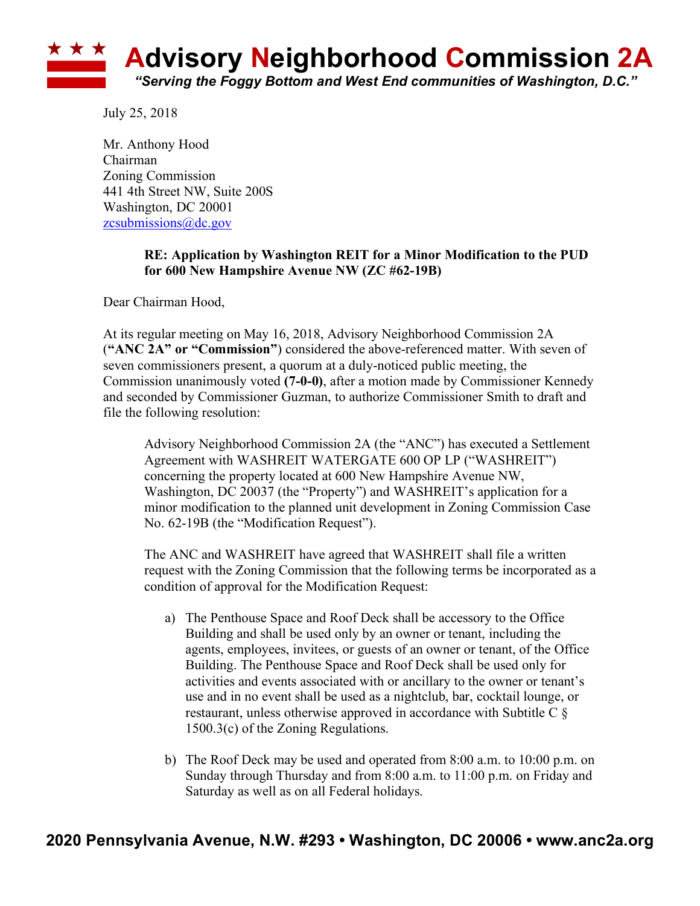

July 25, 2018

Mr. Anthony Hood Chairman Zoning Commission 441 4th Street NW, Suite 200S Washington, DC 20001 zcsubmissions@dc.gov

## **RE: Application by Washington REIT for a Minor Modification to the PUD for 600 New Hampshire Avenue NW (ZC #62-19B)**

Dear Chairman Hood,

At its regular meeting on May 16, 2018, Advisory Neighborhood Commission 2A (**"ANC 2A" or "Commission"**) considered the above-referenced matter. With seven of seven commissioners present, a quorum at a duly-noticed public meeting, the Commission unanimously voted **(7-0-0)**, after a motion made by Commissioner Kennedy and seconded by Commissioner Guzman, to authorize Commissioner Smith to draft and file the following resolution:

Advisory Neighborhood Commission 2A (the "ANC") has executed a Settlement Agreement with WASHREIT WATERGATE 600 OP LP ("WASHREIT") concerning the property located at 600 New Hampshire Avenue NW, Washington, DC 20037 (the "Property") and WASHREIT's application for a minor modification to the planned unit development in Zoning Commission Case No. 62-19B (the "Modification Request").

The ANC and WASHREIT have agreed that WASHREIT shall file a written request with the Zoning Commission that the following terms be incorporated as a condition of approval for the Modification Request:

- a) The Penthouse Space and Roof Deck shall be accessory to the Office Building and shall be used only by an owner or tenant, including the agents, employees, invitees, or guests of an owner or tenant, of the Office Building. The Penthouse Space and Roof Deck shall be used only for activities and events associated with or ancillary to the owner or tenant's use and in no event shall be used as a nightclub, bar, cocktail lounge, or restaurant, unless otherwise approved in accordance with Subtitle C § 1500.3(c) of the Zoning Regulations.
- b) The Roof Deck may be used and operated from 8:00 a.m. to 10:00 p.m. on Sunday through Thursday and from 8:00 a.m. to 11:00 p.m. on Friday and Saturday as well as on all Federal holidays.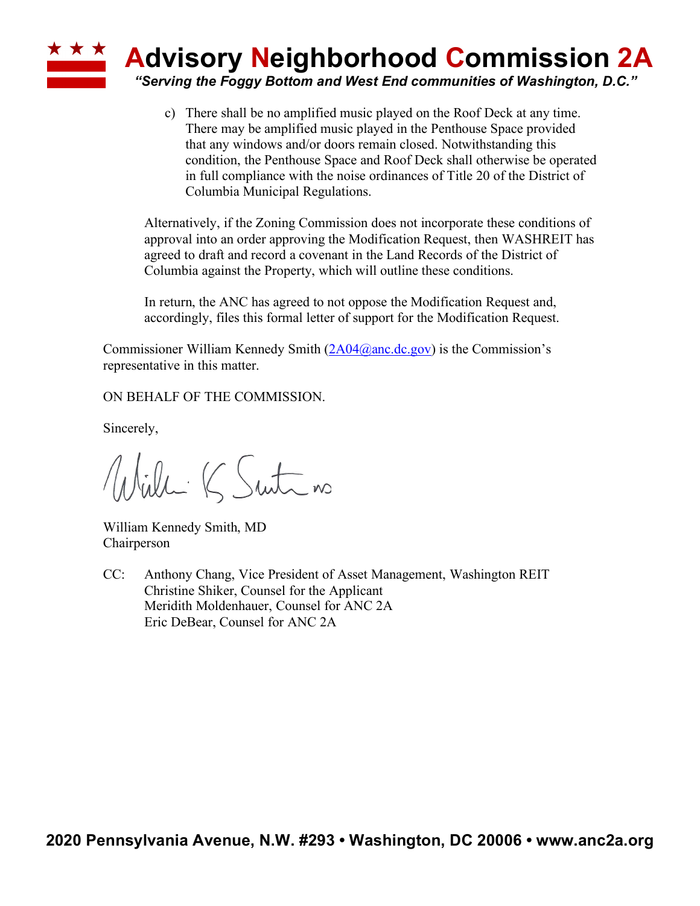

c) There shall be no amplified music played on the Roof Deck at any time. There may be amplified music played in the Penthouse Space provided that any windows and/or doors remain closed. Notwithstanding this condition, the Penthouse Space and Roof Deck shall otherwise be operated in full compliance with the noise ordinances of Title 20 of the District of Columbia Municipal Regulations.

Alternatively, if the Zoning Commission does not incorporate these conditions of approval into an order approving the Modification Request, then WASHREIT has agreed to draft and record a covenant in the Land Records of the District of Columbia against the Property, which will outline these conditions.

In return, the ANC has agreed to not oppose the Modification Request and, accordingly, files this formal letter of support for the Modification Request.

Commissioner William Kennedy Smith (2A04@anc.dc.gov) is the Commission's representative in this matter.

ON BEHALF OF THE COMMISSION.

Sincerely,

Willi K Suite no

William Kennedy Smith, MD Chairperson

CC: Anthony Chang, Vice President of Asset Management, Washington REIT Christine Shiker, Counsel for the Applicant Meridith Moldenhauer, Counsel for ANC 2A Eric DeBear, Counsel for ANC 2A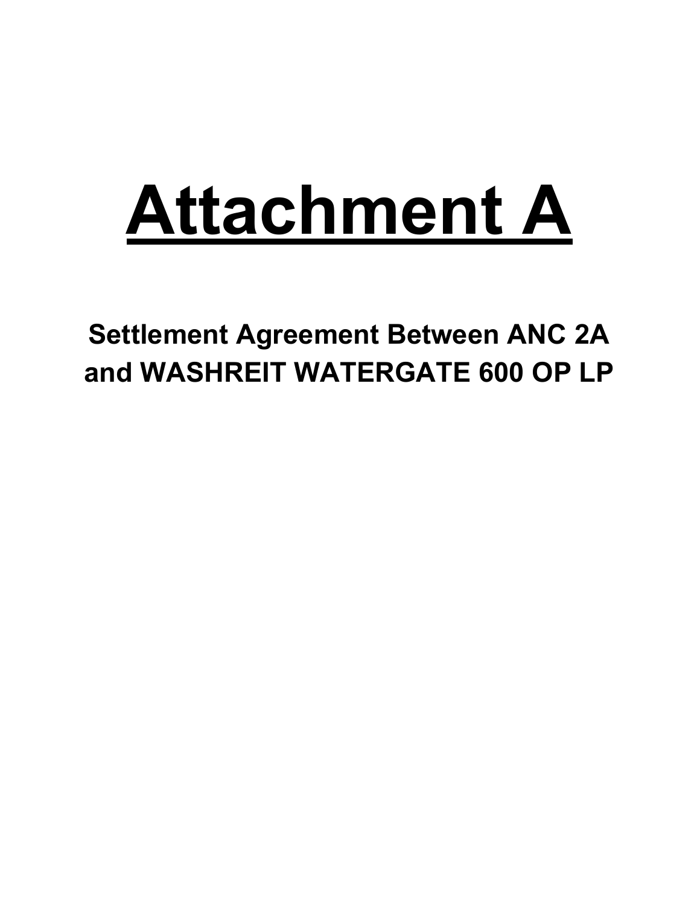# **Attachment A**

**Settlement Agreement Between ANC 2A and WASHREIT WATERGATE 600 OP LP**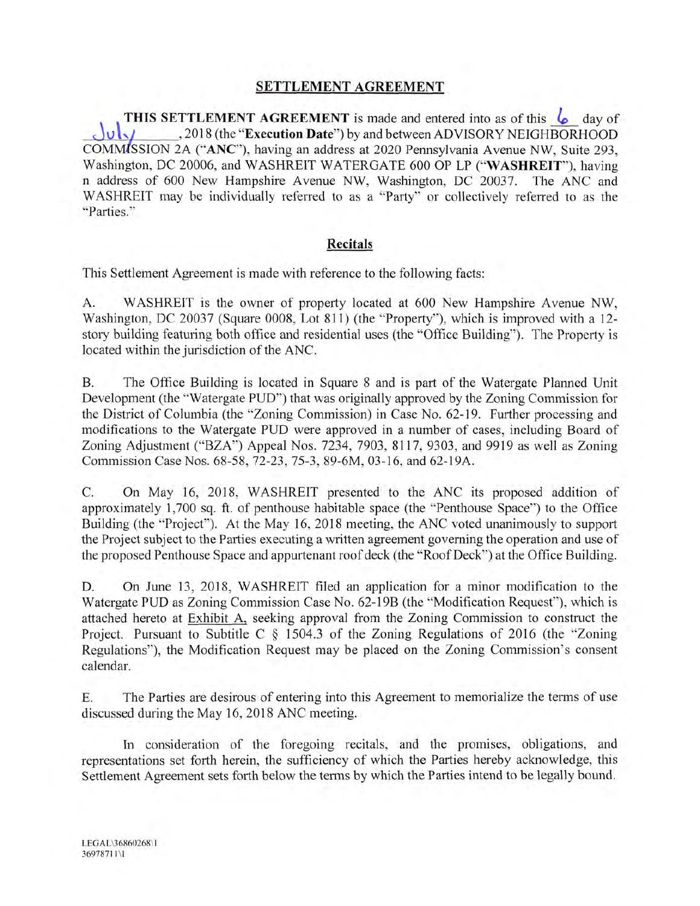### **SETTLEMENT AGREEMENT**

**THIS SETTLEMENT AGREEMENT** is made and entered into as of this **6** day of , 2018 (the "Execution Date") by and between ADVISORY NEIGHBORHOOD  $\omega_{\rm M}$ COMMISSION 2A ("ANC"), having an address at 2020 Pennsylvania Avenue NW, Suite 293, Washington, DC 20006, and WASHREIT WATERGATE 600 OP LP ("WASHREIT"), having n address of 600 New Hampshire Avenue NW, Washington, DC 20037. The ANC and WASHREIT may be individually referred to as a "Party" or collectively referred to as the "Parties."

#### Recitals

This Settlement Agreement is made with reference to the following facts:

WASHREIT is the owner of property located at 600 New Hampshire Avenue NW. A. Washington, DC 20037 (Square 0008, Lot 811) (the "Property"), which is improved with a 12story building featuring both office and residential uses (the "Office Building"). The Property is located within the jurisdiction of the ANC.

The Office Building is located in Square 8 and is part of the Watergate Planned Unit Β. Development (the "Watergate PUD") that was originally approved by the Zoning Commission for the District of Columbia (the "Zoning Commission) in Case No. 62-19. Further processing and modifications to the Watergate PUD were approved in a number of cases, including Board of Zoning Adjustment ("BZA") Appeal Nos. 7234, 7903, 8117, 9303, and 9919 as well as Zoning Commission Case Nos. 68-58, 72-23, 75-3, 89-6M, 03-16, and 62-19A.

C. On May 16, 2018, WASHREIT presented to the ANC its proposed addition of approximately 1,700 sq. ft. of penthouse habitable space (the "Penthouse Space") to the Office Building (the "Project"). At the May 16, 2018 meeting, the ANC voted unanimously to support the Project subject to the Parties executing a written agreement governing the operation and use of the proposed Penthouse Space and appurtenant roof deck (the "Roof Deck") at the Office Building.

On June 13, 2018, WASHREIT filed an application for a minor modification to the D. Watergate PUD as Zoning Commission Case No. 62-19B (the "Modification Request"), which is attached hereto at Exhibit A, seeking approval from the Zoning Commission to construct the Project. Pursuant to Subtitle C § 1504.3 of the Zoning Regulations of 2016 (the "Zoning Regulations"), the Modification Request may be placed on the Zoning Commission's consent calendar.

Ε. The Parties are desirous of entering into this Agreement to memorialize the terms of use discussed during the May 16, 2018 ANC meeting.

In consideration of the foregoing recitals, and the promises, obligations, and representations set forth herein, the sufficiency of which the Parties hereby acknowledge, this Settlement Agreement sets forth below the terms by which the Parties intend to be legally bound.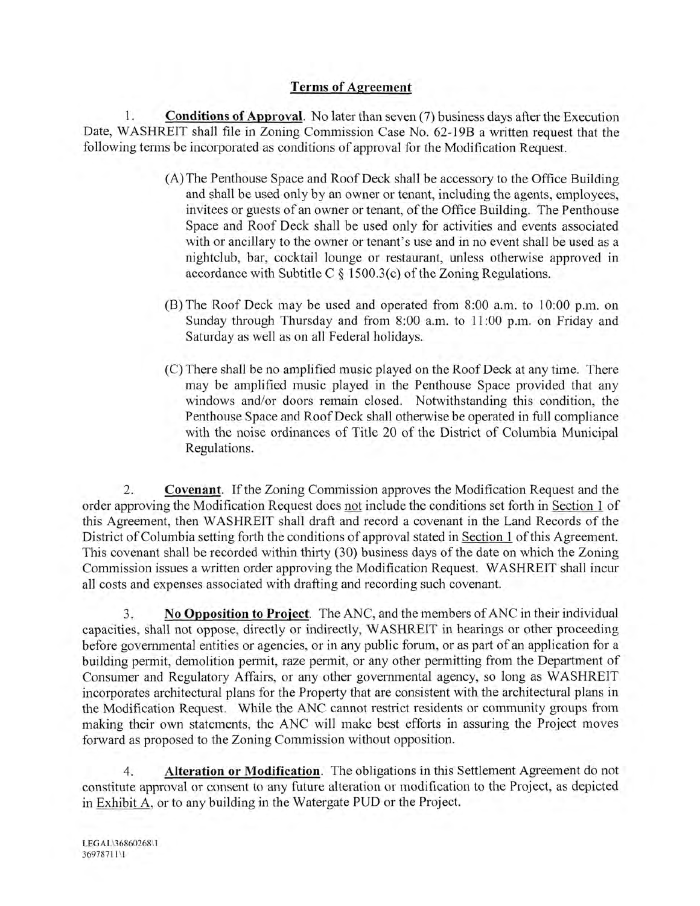# **Terms of Agreement**

1. **Conditions of Approval.** No later than seven (7) business days after the Execution Date, WASHREIT shall file in Zoning Commission Case No. 62-19B a written request that the following terms be incorporated as conditions of approval for the Modification Request.

- (A) The Penthouse Space and Roof Deck shall be accessory to the Office Building and shall be used only by an owner or tenant, including the agents, employees, invitees or guests of an owner or tenant, of the Office Building. The Penthouse Space and Roof Deck shall be used only for activities and events associated with or ancillary to the owner or tenant's use and in no event shall be used as a nightclub, bar, cocktail lounge or restaurant, unless otherwise approved in accordance with Subtitle C  $\S$  1500.3(c) of the Zoning Regulations.
- (B) The Roof Deck may be used and operated from 8:00 a.m. to 10:00 p.m. on Sunday through Thursday and from 8:00 a.m. to 11:00 p.m. on Friday and Saturday as well as on all Federal holidays.
- (C) There shall be no amplified music played on the Roof Deck at any time. There may be amplified music played in the Penthouse Space provided that any windows and/or doors remain closed. Notwithstanding this condition, the Penthouse Space and Roof Deck shall otherwise be operated in full compliance with the noise ordinances of Title 20 of the District of Columbia Municipal Regulations.

2. **Covenant.** If the Zoning Commission approves the Modification Request and the order approving the Modification Request does not include the conditions set forth in Section 1 of this Agreement, then WASHREIT shall draft and record a covenant in the Land Records of the District of Columbia setting forth the conditions of approval stated in Section 1 of this Agreement. This covenant shall be recorded within thirty (30) business days of the date on which the Zoning Commission issues a written order approving the Modification Request. WASHREIT shall incur all costs and expenses associated with drafting and recording such covenant.

3. No Opposition to Project. The ANC, and the members of ANC in their individual capacities, shall not oppose, directly or indirectly, WASHREIT in hearings or other proceeding before governmental entities or agencies, or in any public forum, or as part of an application for a building permit, demolition permit, raze permit, or any other permitting from the Department of Consumer and Regulatory Affairs, or any other governmental agency, so long as WASHREIT incorporates architectural plans for the Property that are consistent with the architectural plans in the Modification Request. While the ANC cannot restrict residents or community groups from making their own statements, the ANC will make best efforts in assuring the Project moves forward as proposed to the Zoning Commission without opposition.

Alteration or Modification. The obligations in this Settlement Agreement do not 4. constitute approval or consent to any future alteration or modification to the Project, as depicted in Exhibit A, or to any building in the Watergate PUD or the Project.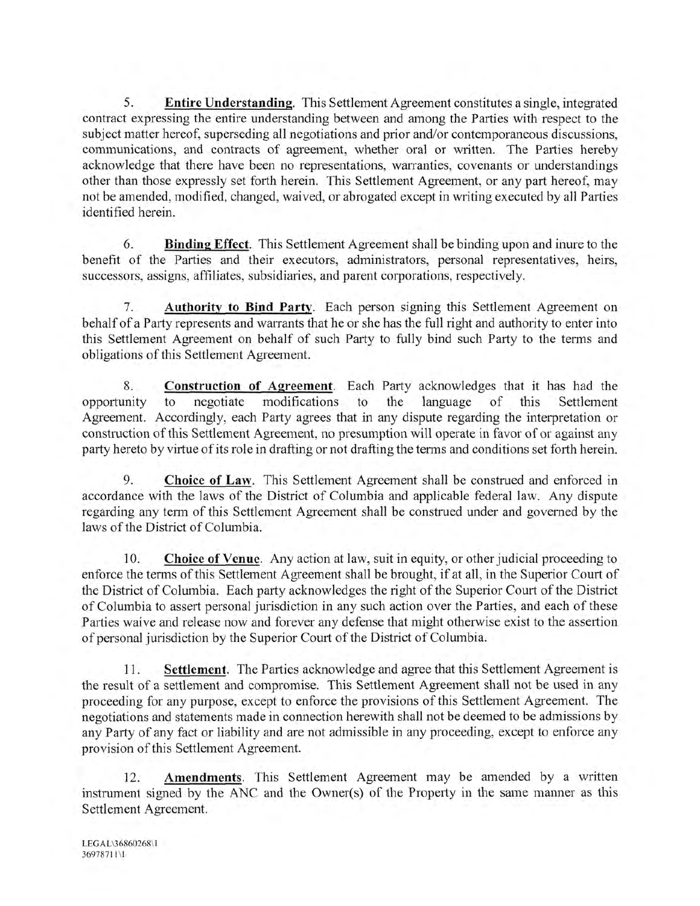5. **Entire Understanding.** This Settlement Agreement constitutes a single, integrated contract expressing the entire understanding between and among the Parties with respect to the subject matter hereof, superseding all negotiations and prior and/or contemporaneous discussions. communications, and contracts of agreement, whether oral or written. The Parties hereby acknowledge that there have been no representations, warranties, covenants or understandings other than those expressly set forth herein. This Settlement Agreement, or any part hereof, may not be amended, modified, changed, waived, or abrogated except in writing executed by all Parties identified herein.

6. **Binding Effect.** This Settlement Agreement shall be binding upon and inure to the benefit of the Parties and their executors, administrators, personal representatives, heirs, successors, assigns, affiliates, subsidiaries, and parent corporations, respectively.

Authority to Bind Party. Each person signing this Settlement Agreement on 7. behalf of a Party represents and warrants that he or she has the full right and authority to enter into this Settlement Agreement on behalf of such Party to fully bind such Party to the terms and obligations of this Settlement Agreement.

Construction of Agreement. Each Party acknowledges that it has had the 8. negotiate modifications to the language  $\circ$ f this opportunity to Settlement Agreement. Accordingly, each Party agrees that in any dispute regarding the interpretation or construction of this Settlement Agreement, no presumption will operate in favor of or against any party hereto by virtue of its role in drafting or not drafting the terms and conditions set forth herein.

Choice of Law. This Settlement Agreement shall be construed and enforced in 9. accordance with the laws of the District of Columbia and applicable federal law. Any dispute regarding any term of this Settlement Agreement shall be construed under and governed by the laws of the District of Columbia.

Choice of Venue. Any action at law, suit in equity, or other judicial proceeding to 10. enforce the terms of this Settlement Agreement shall be brought, if at all, in the Superior Court of the District of Columbia. Each party acknowledges the right of the Superior Court of the District of Columbia to assert personal jurisdiction in any such action over the Parties, and each of these Parties waive and release now and forever any defense that might otherwise exist to the assertion of personal jurisdiction by the Superior Court of the District of Columbia.

Settlement. The Parties acknowledge and agree that this Settlement Agreement is 11. the result of a settlement and compromise. This Settlement Agreement shall not be used in any proceeding for any purpose, except to enforce the provisions of this Settlement Agreement. The negotiations and statements made in connection herewith shall not be deemed to be admissions by any Party of any fact or liability and are not admissible in any proceeding, except to enforce any provision of this Settlement Agreement.

 $12.$ Amendments. This Settlement Agreement may be amended by a written instrument signed by the ANC and the Owner(s) of the Property in the same manner as this Settlement Agreement.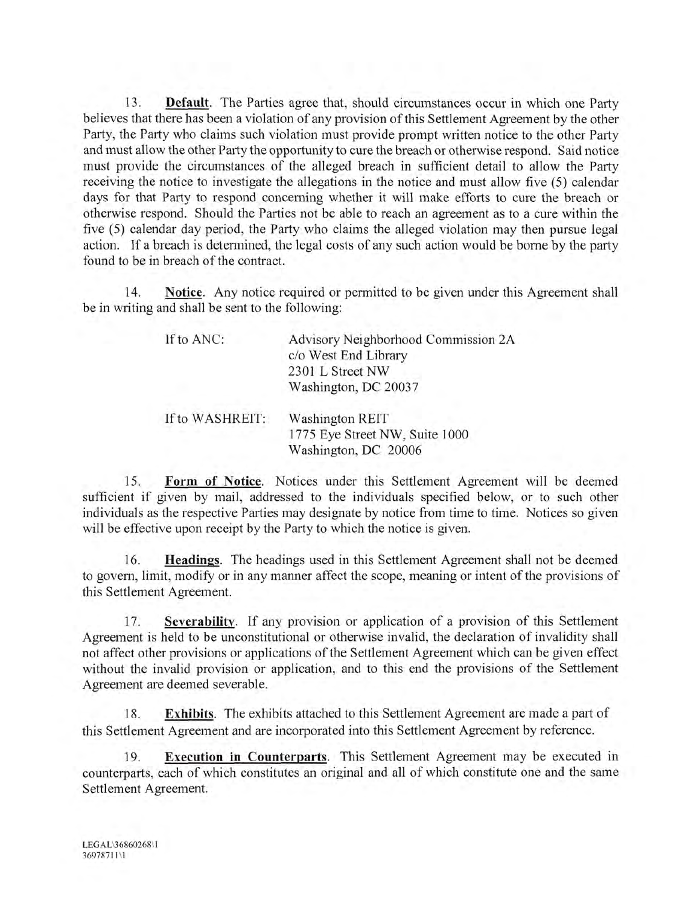13. **Default**. The Parties agree that, should circumstances occur in which one Party believes that there has been a violation of any provision of this Settlement Agreement by the other Party, the Party who claims such violation must provide prompt written notice to the other Party and must allow the other Party the opportunity to cure the breach or otherwise respond. Said notice must provide the circumstances of the alleged breach in sufficient detail to allow the Party receiving the notice to investigate the allegations in the notice and must allow five (5) calendar days for that Party to respond concerning whether it will make efforts to cure the breach or otherwise respond. Should the Parties not be able to reach an agreement as to a cure within the five (5) calendar day period, the Party who claims the alleged violation may then pursue legal action. If a breach is determined, the legal costs of any such action would be borne by the party found to be in breach of the contract.

14. Notice. Any notice required or permitted to be given under this Agreement shall be in writing and shall be sent to the following:

| If to ANC:      | Advisory Neighborhood Commission 2A<br>c/o West End Library<br>2301 L Street NW<br>Washington, DC 20037 |
|-----------------|---------------------------------------------------------------------------------------------------------|
| If to WASHREIT: | <b>Washington REIT</b><br>1775 Eye Street NW, Suite 1000<br>Washington, DC 20006                        |

Form of Notice. Notices under this Settlement Agreement will be deemed 15. sufficient if given by mail, addressed to the individuals specified below, or to such other individuals as the respective Parties may designate by notice from time to time. Notices so given will be effective upon receipt by the Party to which the notice is given.

Headings. The headings used in this Settlement Agreement shall not be deemed 16. to govern, limit, modify or in any manner affect the scope, meaning or intent of the provisions of this Settlement Agreement.

Severability. If any provision or application of a provision of this Settlement 17. Agreement is held to be unconstitutional or otherwise invalid, the declaration of invalidity shall not affect other provisions or applications of the Settlement Agreement which can be given effect without the invalid provision or application, and to this end the provisions of the Settlement Agreement are deemed severable.

Exhibits. The exhibits attached to this Settlement Agreement are made a part of 18. this Settlement Agreement and are incorporated into this Settlement Agreement by reference.

Execution in Counterparts. This Settlement Agreement may be executed in 19. counterparts, each of which constitutes an original and all of which constitute one and the same Settlement Agreement.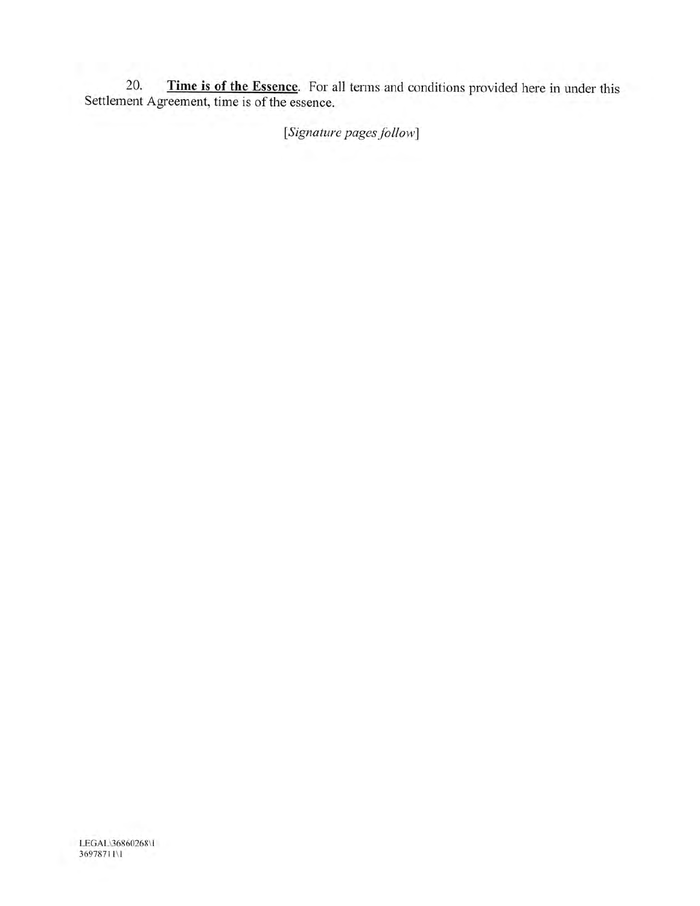20. Time is of the Essence. For all terms and conditions provided here in under this Settlement Agreement, time is of the essence.

[Signature pages follow]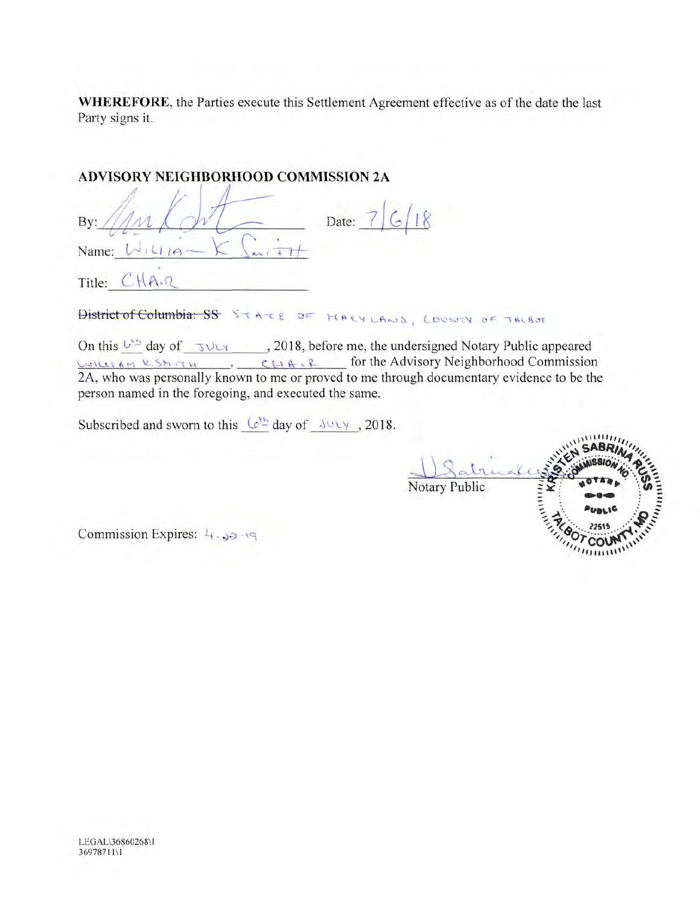WHEREFORE, the Parties execute this Settlement Agreement effective as of the date the last Party signs it.

# ADVISORY NEIGHBORHOOD COMMISSION 2A

| By:    | Date: |
|--------|-------|
| Name:  |       |
| Title: |       |

District of Columbia: SS STATE OF MARYLAND, LOUNTY OF TALBOT

On this  $\frac{1}{2}$  day of  $\frac{1}{2}$  day of  $\frac{1}{2}$  day of  $\frac{1}{2}$  day  $\frac{1}{2}$  day  $\frac{1}{2}$  day  $\frac{1}{2}$  day  $\frac{1}{2}$  day  $\frac{1}{2}$  day of  $\frac{1}{2}$  day  $\frac{1}{2}$  day of  $\frac{1}{2}$  day  $\frac{1}{2}$  day of  $\frac{1}{2}$  day LUILLIAM V. SEITTH J CHAIR for the Advisory Neighborhood Commission 2A, who was personally known to me or proved to me through documentary evidence to be the person named in the foregoing, and executed the same.

Subscribed and sworn to this  $(e^{i\pi}$  day of  $\sqrt{2018}$ .



Commission Expires:  $4 - 39 - 19$